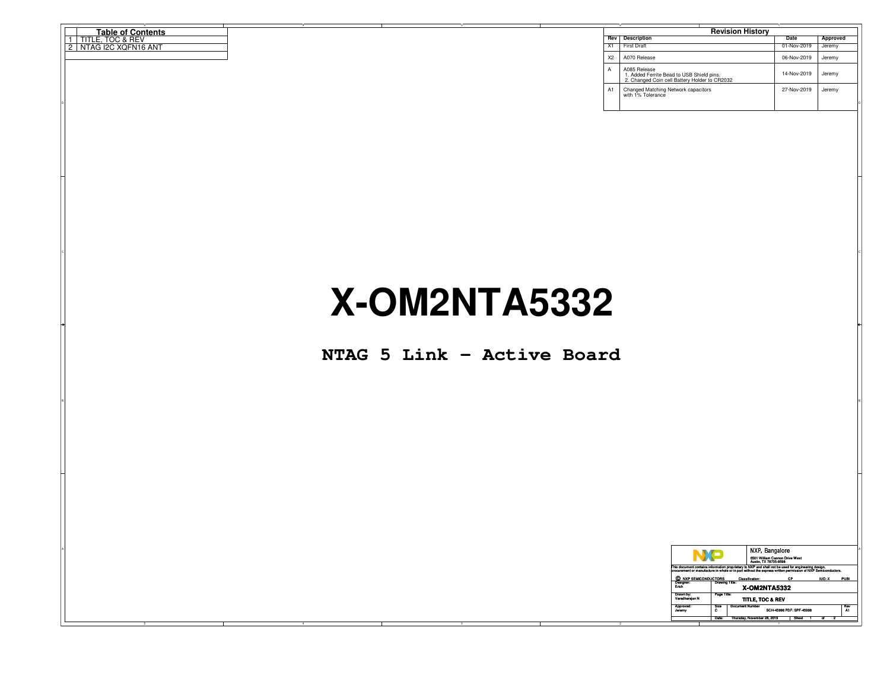|                    | <b>Table of Contents</b>              |
|--------------------|---------------------------------------|
|                    | し& REV<br>---<br>TITLE.<br>$\sim$     |
| $\sim$<br><u>_</u> | l2C XQFN16 ANT نا<br>. N7<br>' '⊤AG ⊾ |
|                    |                                       |

| <b>Table of Contents</b> |  |  |    | <b>Revision History</b>                                                                                    |                    |          |
|--------------------------|--|--|----|------------------------------------------------------------------------------------------------------------|--------------------|----------|
| TITLE, TOC & REV         |  |  |    | Rev Description                                                                                            | Date               | Approved |
| 2   NTAG I2C XQFN16 ANT  |  |  |    | X1 First Draft                                                                                             | 01-Nov-2019        | Jeremy   |
|                          |  |  |    | X2   A070 Release                                                                                          | 06-Nov-2019 Jeremy |          |
|                          |  |  |    | A085 Release<br>1. Added Ferrite Bead to USB Shield pins.<br>2. Changed Coin cell Battery Holder to CR2032 | 14-Nov-2019        | , Jeremy |
|                          |  |  | A1 | Changed Matching Network capacitors<br>with 1% Tolerance                                                   | 27-Nov-2019        | Jeremy   |
|                          |  |  |    |                                                                                                            |                    |          |

## **X-OM2NTA5332**

en and the second contract of the second contract of the second contract of the second contract of the second contract of the second contract of the second contract of the second contract of the second contract of the seco

**NTAG 5 Link - Active Board**

B<sub>l</sub>

|                             |                                   | NXP, Bangalore                                                                                                                                                                                                      |                  |
|-----------------------------|-----------------------------------|---------------------------------------------------------------------------------------------------------------------------------------------------------------------------------------------------------------------|------------------|
|                             |                                   | 6501 William Cannon Drive West<br>Austin, TX 78735-8598                                                                                                                                                             |                  |
|                             |                                   | This document contains information proprietary to NXP and shall not be used for engineering design,<br>procurement or manufacture in whole or in part without the express written permission of NXP Semiconductors. |                  |
| C NXP SEMICONDUCTORS        | Classification:                   | CP.                                                                                                                                                                                                                 | IUO: X PUBI      |
| Designer:                   | <b>Drawing Title:</b>             |                                                                                                                                                                                                                     |                  |
|                             |                                   | X-OM2NTA5332                                                                                                                                                                                                        |                  |
| Drawn by:<br>Varadharajan N | Page Title:                       | TITLE, TOC & REV                                                                                                                                                                                                    |                  |
|                             |                                   |                                                                                                                                                                                                                     |                  |
| Approved<br>Jeremy          | <b>Document Number</b><br>Size    | SCH-45998 PDF: SPF-45998                                                                                                                                                                                            | Rev<br><b>A1</b> |
|                             | Date: Thursday, November 28, 2019 | Sheet                                                                                                                                                                                                               |                  |
|                             |                                   |                                                                                                                                                                                                                     |                  |